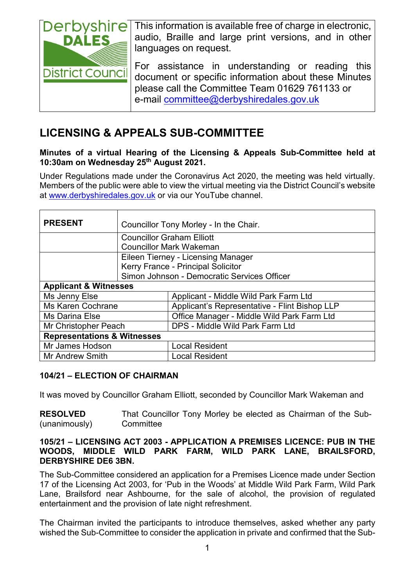

This information is available free of charge in electronic, audio, Braille and large print versions, and in other languages on request.

For assistance in understanding or reading this document or specific information about these Minutes please call the Committee Team 01629 761133 or e-mail [committee@derbyshiredales.gov.uk](mailto:committee@derbyshiredales.gov.uk)

# **LICENSING & APPEALS SUB-COMMITTEE**

# **Minutes of a virtual Hearing of the Licensing & Appeals Sub-Committee held at 10:30am on Wednesday 25th August 2021.**

Under Regulations made under the Coronavirus Act 2020, the meeting was held virtually. Members of the public were able to view the virtual meeting via the District Council's website at [www.derbyshiredales.gov.uk](http://www.derbyshiredales.gov.uk/) or via our YouTube channel.

| <b>PRESENT</b>                         |                                             | Councillor Tony Morley - In the Chair.        |  |  |
|----------------------------------------|---------------------------------------------|-----------------------------------------------|--|--|
|                                        |                                             | <b>Councillor Graham Elliott</b>              |  |  |
|                                        | <b>Councillor Mark Wakeman</b>              |                                               |  |  |
|                                        | Eileen Tierney - Licensing Manager          |                                               |  |  |
|                                        | Kerry France - Principal Solicitor          |                                               |  |  |
|                                        | Simon Johnson - Democratic Services Officer |                                               |  |  |
| <b>Applicant &amp; Witnesses</b>       |                                             |                                               |  |  |
| Ms Jenny Else                          |                                             | Applicant - Middle Wild Park Farm Ltd         |  |  |
| <b>Ms Karen Cochrane</b>               |                                             | Applicant's Representative - Flint Bishop LLP |  |  |
| Ms Darina Else                         |                                             | Office Manager - Middle Wild Park Farm Ltd    |  |  |
| Mr Christopher Peach                   |                                             | DPS - Middle Wild Park Farm Ltd               |  |  |
| <b>Representations &amp; Witnesses</b> |                                             |                                               |  |  |
| Mr James Hodson                        |                                             | <b>Local Resident</b>                         |  |  |
| <b>Mr Andrew Smith</b>                 |                                             | Local Resident                                |  |  |

# **104/21 – ELECTION OF CHAIRMAN**

It was moved by Councillor Graham Elliott, seconded by Councillor Mark Wakeman and

**RESOLVED** (unanimously) That Councillor Tony Morley be elected as Chairman of the Sub-**Committee** 

#### **105/21 – LICENSING ACT 2003 - APPLICATION A PREMISES LICENCE: PUB IN THE WOODS, MIDDLE WILD PARK FARM, WILD PARK LANE, BRAILSFORD, DERBYSHIRE DE6 3BN.**

The Sub-Committee considered an application for a Premises Licence made under Section 17 of the Licensing Act 2003, for 'Pub in the Woods' at Middle Wild Park Farm, Wild Park Lane, Brailsford near Ashbourne, for the sale of alcohol, the provision of regulated entertainment and the provision of late night refreshment.

The Chairman invited the participants to introduce themselves, asked whether any party wished the Sub-Committee to consider the application in private and confirmed that the Sub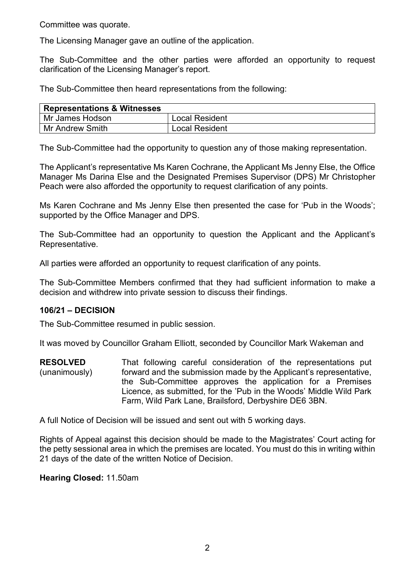Committee was quorate.

The Licensing Manager gave an outline of the application.

The Sub-Committee and the other parties were afforded an opportunity to request clarification of the Licensing Manager's report.

The Sub-Committee then heard representations from the following:

| <b>Representations &amp; Witnesses</b> |                       |
|----------------------------------------|-----------------------|
| Mr James Hodson                        | Local Resident        |
| Mr Andrew Smith                        | <b>Local Resident</b> |

The Sub-Committee had the opportunity to question any of those making representation.

The Applicant's representative Ms Karen Cochrane, the Applicant Ms Jenny Else, the Office Manager Ms Darina Else and the Designated Premises Supervisor (DPS) Mr Christopher Peach were also afforded the opportunity to request clarification of any points.

Ms Karen Cochrane and Ms Jenny Else then presented the case for 'Pub in the Woods'; supported by the Office Manager and DPS.

The Sub-Committee had an opportunity to question the Applicant and the Applicant's Representative.

All parties were afforded an opportunity to request clarification of any points.

The Sub-Committee Members confirmed that they had sufficient information to make a decision and withdrew into private session to discuss their findings.

# **106/21 – DECISION**

The Sub-Committee resumed in public session.

It was moved by Councillor Graham Elliott, seconded by Councillor Mark Wakeman and

**RESOLVED** (unanimously) That following careful consideration of the representations put forward and the submission made by the Applicant's representative, the Sub-Committee approves the application for a Premises Licence, as submitted, for the 'Pub in the Woods' Middle Wild Park Farm, Wild Park Lane, Brailsford, Derbyshire DE6 3BN.

A full Notice of Decision will be issued and sent out with 5 working days.

Rights of Appeal against this decision should be made to the Magistrates' Court acting for the petty sessional area in which the premises are located. You must do this in writing within 21 days of the date of the written Notice of Decision.

**Hearing Closed:** 11.50am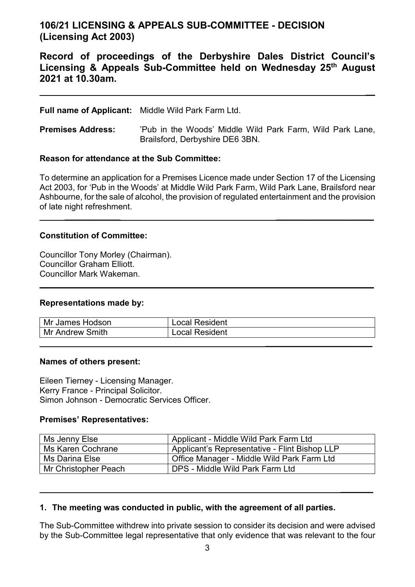# **106/21 LICENSING & APPEALS SUB-COMMITTEE - DECISION (Licensing Act 2003)**

# **Record of proceedings of the Derbyshire Dales District Council's Licensing & Appeals Sub-Committee held on Wednesday 25th August 2021 at 10.30am.**

**\_\_**

**\_\_\_\_\_\_\_**

### **Full name of Applicant:** Middle Wild Park Farm Ltd.

**Premises Address:** 'Pub in the Woods' Middle Wild Park Farm, Wild Park Lane, Brailsford, Derbyshire DE6 3BN.

#### **Reason for attendance at the Sub Committee:**

To determine an application for a Premises Licence made under Section 17 of the Licensing Act 2003, for 'Pub in the Woods' at Middle Wild Park Farm, Wild Park Lane, Brailsford near Ashbourne, for the sale of alcohol, the provision of regulated entertainment and the provision of late night refreshment.

**\_\_\_\_\_\_\_\_\_\_\_\_ \_\_\_\_\_\_\_\_\_\_\_\_\_\_\_\_\_\_\_\_\_**

**\_\_\_\_\_\_\_\_\_\_\_\_ \_\_\_\_\_\_\_\_\_\_\_\_\_\_\_\_\_\_\_\_\_**

# **Constitution of Committee:**

Councillor Tony Morley (Chairman). Councillor Graham Elliott. Councillor Mark Wakeman.

#### **Representations made by:**

| Mr James Hodson | Local Resident        |
|-----------------|-----------------------|
| Mr Andrew Smith | <b>Local Resident</b> |
|                 |                       |

#### **Names of others present:**

Eileen Tierney - Licensing Manager. Kerry France - Principal Solicitor. Simon Johnson - Democratic Services Officer.

#### **Premises' Representatives:**

| Ms Jenny Else            | Applicant - Middle Wild Park Farm Ltd                   |
|--------------------------|---------------------------------------------------------|
| <b>Ms Karen Cochrane</b> | Applicant's Representative - Flint Bishop LLP           |
| Ms Darina Else           | <sup>'</sup> Office Manager - Middle Wild Park Farm Ltd |
| Mr Christopher Peach     | DPS - Middle Wild Park Farm Ltd                         |

#### **1. The meeting was conducted in public, with the agreement of all parties.**

The Sub-Committee withdrew into private session to consider its decision and were advised by the Sub-Committee legal representative that only evidence that was relevant to the four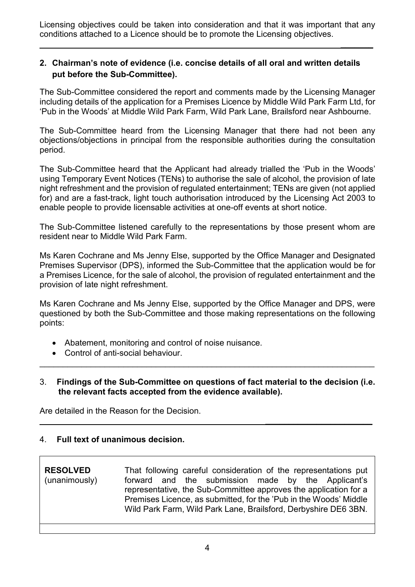Licensing objectives could be taken into consideration and that it was important that any conditions attached to a Licence should be to promote the Licensing objectives.

**\_\_\_\_\_\_\_**

**\_\_\_\_\_\_\_\_\_\_\_\_\_\_\_\_\_\_\_\_\_\_\_**

# **2. Chairman's note of evidence (i.e. concise details of all oral and written details put before the Sub-Committee).**

The Sub-Committee considered the report and comments made by the Licensing Manager including details of the application for a Premises Licence by Middle Wild Park Farm Ltd, for 'Pub in the Woods' at Middle Wild Park Farm, Wild Park Lane, Brailsford near Ashbourne.

The Sub-Committee heard from the Licensing Manager that there had not been any objections/objections in principal from the responsible authorities during the consultation period.

The Sub-Committee heard that the Applicant had already trialled the 'Pub in the Woods' using Temporary Event Notices (TENs) to authorise the sale of alcohol, the provision of late night refreshment and the provision of regulated entertainment; TENs are given (not applied for) and are a fast-track, light touch authorisation introduced by the Licensing Act 2003 to enable people to provide licensable activities at one-off events at short notice.

The Sub-Committee listened carefully to the representations by those present whom are resident near to Middle Wild Park Farm.

Ms Karen Cochrane and Ms Jenny Else, supported by the Office Manager and Designated Premises Supervisor (DPS), informed the Sub-Committee that the application would be for a Premises Licence, for the sale of alcohol, the provision of regulated entertainment and the provision of late night refreshment.

Ms Karen Cochrane and Ms Jenny Else, supported by the Office Manager and DPS, were questioned by both the Sub-Committee and those making representations on the following points:

- Abatement, monitoring and control of noise nuisance.
- Control of anti-social behaviour.
- 3. **Findings of the Sub-Committee on questions of fact material to the decision (i.e. the relevant facts accepted from the evidence available).**

\_\_\_\_\_\_\_\_\_\_\_\_\_\_\_\_\_\_\_\_\_\_\_\_\_\_\_\_\_\_\_\_\_\_\_\_\_\_\_\_\_\_\_\_\_\_\_\_\_\_\_\_\_\_\_\_\_\_\_\_\_\_\_\_\_\_\_\_\_\_\_\_

Are detailed in the Reason for the Decision.

# 4. **Full text of unanimous decision.**

**RESOLVED** (unanimously) That following careful consideration of the representations put forward and the submission made by the Applicant's representative, the Sub-Committee approves the application for a Premises Licence, as submitted, for the 'Pub in the Woods' Middle Wild Park Farm, Wild Park Lane, Brailsford, Derbyshire DE6 3BN.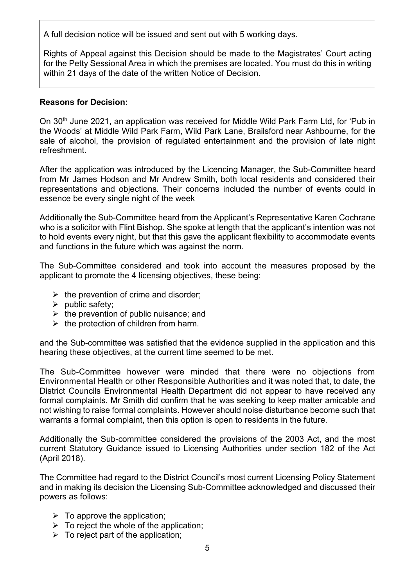A full decision notice will be issued and sent out with 5 working days.

Rights of Appeal against this Decision should be made to the Magistrates' Court acting for the Petty Sessional Area in which the premises are located. You must do this in writing within 21 days of the date of the written Notice of Decision.

#### **Reasons for Decision:**

On 30<sup>th</sup> June 2021, an application was received for Middle Wild Park Farm Ltd, for 'Pub in the Woods' at Middle Wild Park Farm, Wild Park Lane, Brailsford near Ashbourne, for the sale of alcohol, the provision of regulated entertainment and the provision of late night refreshment.

After the application was introduced by the Licencing Manager, the Sub-Committee heard from Mr James Hodson and Mr Andrew Smith, both local residents and considered their representations and objections. Their concerns included the number of events could in essence be every single night of the week

Additionally the Sub-Committee heard from the Applicant's Representative Karen Cochrane who is a solicitor with Flint Bishop. She spoke at length that the applicant's intention was not to hold events every night, but that this gave the applicant flexibility to accommodate events and functions in the future which was against the norm.

The Sub-Committee considered and took into account the measures proposed by the applicant to promote the 4 licensing objectives, these being:

- $\triangleright$  the prevention of crime and disorder;
- $\triangleright$  public safety;
- $\triangleright$  the prevention of public nuisance; and
- $\triangleright$  the protection of children from harm.

and the Sub-committee was satisfied that the evidence supplied in the application and this hearing these objectives, at the current time seemed to be met.

The Sub-Committee however were minded that there were no objections from Environmental Health or other Responsible Authorities and it was noted that, to date, the District Councils Environmental Health Department did not appear to have received any formal complaints. Mr Smith did confirm that he was seeking to keep matter amicable and not wishing to raise formal complaints. However should noise disturbance become such that warrants a formal complaint, then this option is open to residents in the future.

Additionally the Sub-committee considered the provisions of the 2003 Act, and the most current Statutory Guidance issued to Licensing Authorities under section 182 of the Act (April 2018).

The Committee had regard to the District Council's most current Licensing Policy Statement and in making its decision the Licensing Sub-Committee acknowledged and discussed their powers as follows:

- $\triangleright$  To approve the application:
- $\triangleright$  To reject the whole of the application;
- $\triangleright$  To reject part of the application;